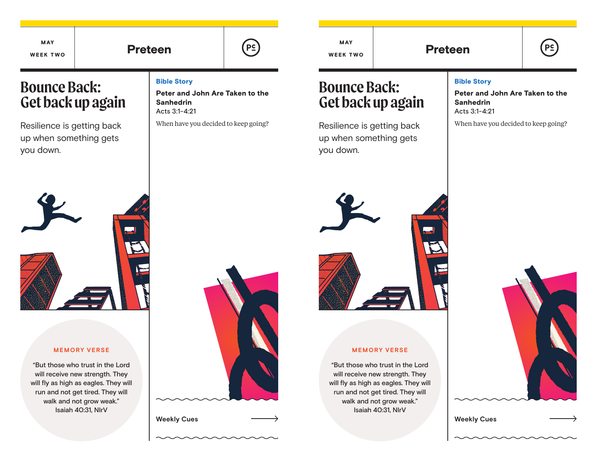Bible Story

Sanhedrin Acts 3:1-4:21

Peter and John Are Taken to the

When have you decided to keep going?

MAY WEEK TWO

Preteen | <sup>(P⊆)</sup> week two | Preteen

# **Bounce Back: Get back up again**

Resilience is getting back up when something gets you down.

# Bible Story

Peter and John Are Taken to the Sanhedrin Acts 3:1-4:21

When have you decided to keep going?

**Bounce Back:**

MAY WEEK TWO

you down.

**Get back up again**

Resilience is getting back up when something gets

## **MEMORY VERSE**

"But those who trust in the Lord will receive new strength. They will fly as high as eagles. They will run and not get tired. They will walk and not grow weak." Isaiah 40:31, NIrV



**Weekly Cues Weekly Cues**



# **MEMORY VERSE**

"But those who trust in the Lord will receive new strength. They will fly as high as eagles. They will run and not get tired. They will walk and not grow weak." Isaiah 40:31, NIrV





 $P<sub>2</sub>$